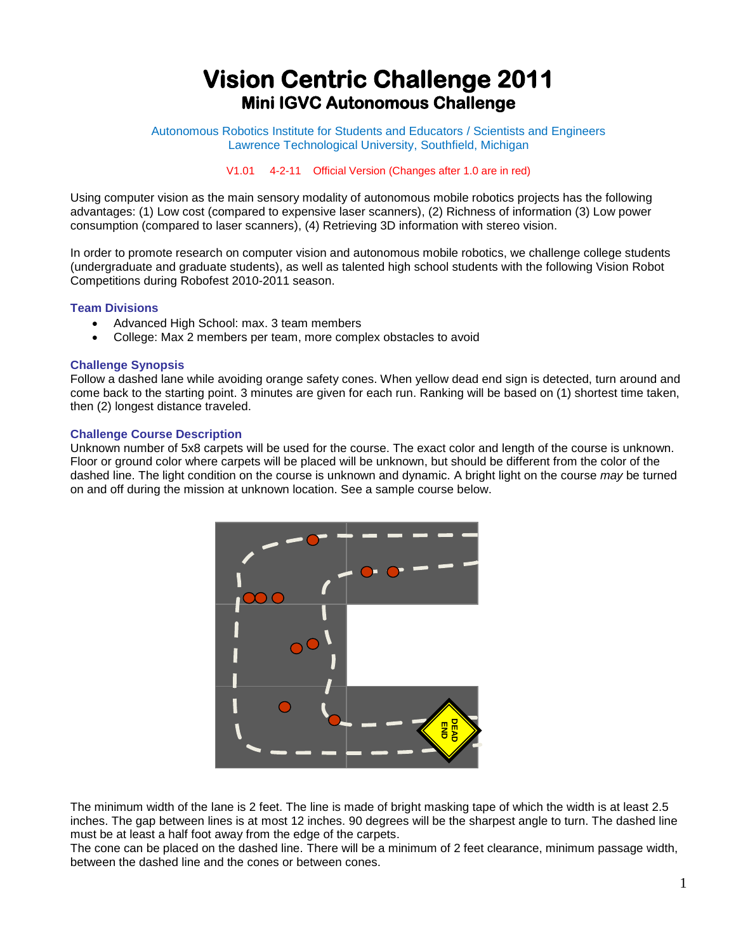# **Vision Centric Challenge 2011 Mini IGVC Autonomous Challenge**

Autonomous Robotics Institute for Students and Educators / Scientists and Engineers Lawrence Technological University, Southfield, Michigan

V1.01 4-2-11 Official Version (Changes after 1.0 are in red)

Using computer vision as the main sensory modality of autonomous mobile robotics projects has the following advantages: (1) Low cost (compared to expensive laser scanners), (2) Richness of information (3) Low power consumption (compared to laser scanners), (4) Retrieving 3D information with stereo vision.

In order to promote research on computer vision and autonomous mobile robotics, we challenge college students (undergraduate and graduate students), as well as talented high school students with the following Vision Robot Competitions during Robofest 2010-2011 season.

# **Team Divisions**

- Advanced High School: max. 3 team members
- College: Max 2 members per team, more complex obstacles to avoid

# **Challenge Synopsis**

Follow a dashed lane while avoiding orange safety cones. When yellow dead end sign is detected, turn around and come back to the starting point. 3 minutes are given for each run. Ranking will be based on (1) shortest time taken, then (2) longest distance traveled.

# **Challenge Course Description**

Unknown number of 5x8 carpets will be used for the course. The exact color and length of the course is unknown. Floor or ground color where carpets will be placed will be unknown, but should be different from the color of the dashed line. The light condition on the course is unknown and dynamic. A bright light on the course *may* be turned on and off during the mission at unknown location. See a sample course below.



The minimum width of the lane is 2 feet. The line is made of bright masking tape of which the width is at least 2.5 inches. The gap between lines is at most 12 inches. 90 degrees will be the sharpest angle to turn. The dashed line must be at least a half foot away from the edge of the carpets.

The cone can be placed on the dashed line. There will be a minimum of 2 feet clearance, minimum passage width, between the dashed line and the cones or between cones.